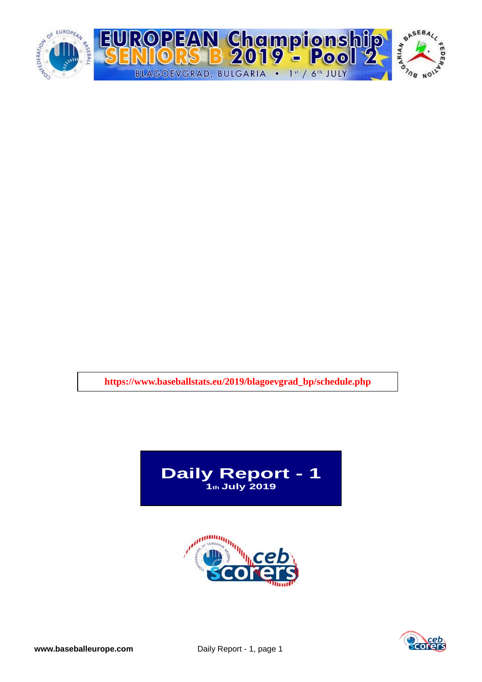

**https://www.baseballstats.eu/2019/blagoevgrad\_bp/schedule.php**





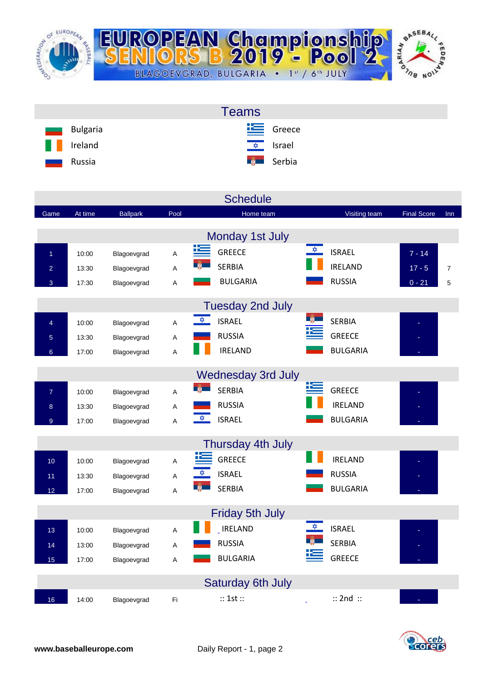

| <b>Teams</b>                         |                            |
|--------------------------------------|----------------------------|
| Bulgaria<br>$\overline{\phantom{a}}$ | $E$ Greece                 |
| W<br>Ireland                         | <u><del>☆</del></u> Israel |
| Russia<br>سند                        | <b>Expedit</b> Serbia      |

|                 |         |                 |      | <b>Schedule</b>                |                    |                    |                |
|-----------------|---------|-----------------|------|--------------------------------|--------------------|--------------------|----------------|
| Game            | At time | <b>Ballpark</b> | Pool | Home team                      | Visiting team      | <b>Final Score</b> | Inn            |
|                 |         |                 |      | Monday 1st July                |                    |                    |                |
|                 |         |                 |      | <b>GREECE</b>                  | ✿<br><b>ISRAEL</b> | $7 - 14$           |                |
| $\overline{1}$  | 10:00   | Blagoevgrad     | A    | <b>SERBIA</b>                  | <b>IRELAND</b>     |                    |                |
| $\overline{a}$  | 13:30   | Blagoevgrad     | A    | <b>BULGARIA</b>                | <b>RUSSIA</b>      | $17 - 5$           | $\overline{7}$ |
| 3               | 17:30   | Blagoevgrad     | A    |                                |                    | $0 - 21$           | 5              |
|                 |         |                 |      | <b>Tuesday 2nd July</b>        |                    |                    |                |
| $\overline{4}$  | 10:00   | Blagoevgrad     | A    | $\frac{1}{2}$<br><b>ISRAEL</b> | <b>SERBIA</b>      |                    |                |
| 5               | 13:30   | Blagoevgrad     | A    | <b>RUSSIA</b>                  | <b>GREECE</b>      |                    |                |
| $6\overline{6}$ | 17:00   | Blagoevgrad     | A    | <b>IRELAND</b>                 | <b>BULGARIA</b>    |                    |                |
|                 |         |                 |      |                                |                    |                    |                |
|                 |         |                 |      | <b>Wednesday 3rd July</b>      | <u>K.</u>          |                    |                |
| $\overline{7}$  | 10:00   | Blagoevgrad     | A    | <b>SERBIA</b>                  | <b>GREECE</b>      |                    |                |
| 8               | 13:30   | Blagoevgrad     | Α    | <b>RUSSIA</b>                  | <b>IRELAND</b>     |                    |                |
| 9 <sup>°</sup>  | 17:00   | Blagoevgrad     | A    | $\frac{1}{2}$<br><b>ISRAEL</b> | <b>BULGARIA</b>    |                    |                |
|                 |         |                 |      | Thursday 4th July              |                    |                    |                |
| 10 <sub>1</sub> | 10:00   | Blagoevgrad     | A    | <b>GREECE</b>                  | <b>IRELAND</b>     |                    |                |
| 11              | 13:30   | Blagoevgrad     | Α    | <b>ISRAEL</b>                  | <b>RUSSIA</b>      |                    |                |
| 12              | 17:00   | Blagoevgrad     | A    | <b>SERBIA</b>                  | <b>BULGARIA</b>    |                    |                |
|                 |         |                 |      |                                |                    |                    |                |
|                 |         |                 |      | <b>Friday 5th July</b>         |                    |                    |                |
| 13              | 10:00   | Blagoevgrad     | A    | <b>IRELAND</b>                 | <b>ISRAEL</b>      |                    |                |
| 14              | 13:00   | Blagoevgrad     | A    | <b>RUSSIA</b>                  | <b>SERBIA</b>      |                    |                |
| 15              | 17:00   | Blagoevgrad     | A    | <b>BULGARIA</b>                | <b>GREECE</b>      |                    |                |
|                 |         |                 |      |                                |                    |                    |                |
|                 |         |                 |      | <b>Saturday 6th July</b>       |                    |                    |                |
| 16              | 14:00   | Blagoevgrad     | Fi   | :: 1st ::                      | $::$ 2nd $::$      |                    |                |

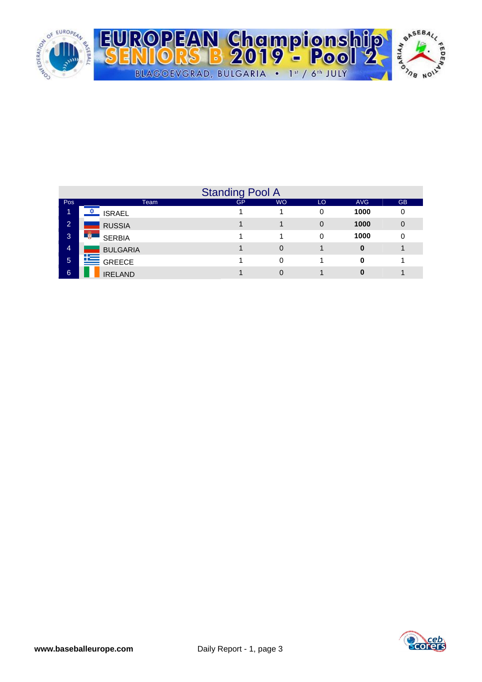

|                | <b>Standing Pool A</b> |    |           |             |            |           |  |  |  |  |  |
|----------------|------------------------|----|-----------|-------------|------------|-----------|--|--|--|--|--|
| Pos            | Team                   | GP | <b>WO</b> | LO          | <b>AVG</b> | <b>GB</b> |  |  |  |  |  |
| 1.             | <b>ISRAEL</b>          |    |           | 0           | 1000       | 0         |  |  |  |  |  |
| $\overline{2}$ | <b>RUSSIA</b>          |    |           | $\mathbf 0$ | 1000       | 0         |  |  |  |  |  |
| 3              | <b>SERBIA</b>          |    |           | 0           | 1000       | 0         |  |  |  |  |  |
| 4              | <b>BULGARIA</b>        |    | 0         |             | 0          |           |  |  |  |  |  |
| 5              | $\mathbf{E}$ GREECE    |    | $\Omega$  |             | 0          |           |  |  |  |  |  |
| 6              | <b>IRELAND</b>         |    | 0         |             | 0          |           |  |  |  |  |  |

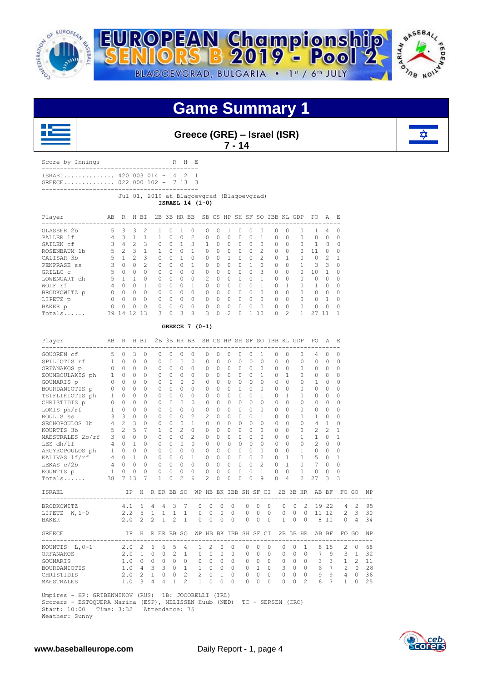

![](_page_3_Picture_1.jpeg)

### **Game Summary 1**

![](_page_3_Picture_3.jpeg)

**Greece (GRE) – Israel (ISR) 7 - 14**

![](_page_3_Picture_5.jpeg)

|                                                         |                |                                         |                |                |                                           |                                  |                |                 |                |                | ,              |             | .,       |                |          |                |                                          |                                                 |                |              |
|---------------------------------------------------------|----------------|-----------------------------------------|----------------|----------------|-------------------------------------------|----------------------------------|----------------|-----------------|----------------|----------------|----------------|-------------|----------|----------------|----------|----------------|------------------------------------------|-------------------------------------------------|----------------|--------------|
| Score by Innings                                        |                |                                         |                |                |                                           |                                  | R H E          |                 |                |                |                |             |          |                |          |                |                                          |                                                 |                |              |
| ISRAEL 420 003 014 - 14 12<br>GREECE 022 000 102 - 7 13 |                |                                         |                |                |                                           |                                  |                | 1<br>3          |                |                |                |             |          |                |          |                |                                          |                                                 |                |              |
|                                                         |                |                                         |                |                | Jul 01, 2019 at Blagoevgrad (Blagoevgrad) |                                  |                | ISRAEL 14 (1-0) |                |                |                |             |          |                |          |                |                                          |                                                 |                |              |
| Player<br>--------------------------                    | AВ             | R H BI                                  |                |                |                                           | $ -$                             |                |                 |                |                |                |             |          |                |          |                | 2B 3B HR BB SB CS HP SH SF SO IBB KL GDP | PO A                                            |                | Ε            |
| GLASSER 2b                                              | 5              | $\overline{\mathbf{3}}$                 | 3              | $\overline{2}$ | 1                                         | 0                                | 1              | 0               | $\circ$        | $\circ$        | 1              | $\circ$     | $\circ$  | $\circ$        | 0        | $\circ$        | 0                                        | ------------<br>1                               | $\overline{4}$ | 0            |
| PALLER 1f                                               |                | $4 \quad 3$                             | $\mathbf{1}$   | $\mathbf{1}$   | $\mathbf{1}$                              | $\Omega$                         | $\circ$        | 2               | 0              | $\circ$        | 0              | 0           | 0        | $\mathbf{1}$   | $\circ$  | $\Omega$       | 0                                        | $\circ$                                         | $\circ$        | 0            |
| GAILEN Cf                                               | 3              | 4                                       | 2              | 3              | 0                                         | $\begin{array}{c} \n\end{array}$ | 1              | 3               | 1              | 0              | $\Omega$       | 0           | $\Omega$ | $\Omega$       | 0        | $\Omega$       | 0                                        | 1                                               | 0              | $\Omega$     |
| ROSENBAUM 1b                                            | 5              | 2                                       | 3              | $\mathbf{1}$   | 1                                         | $\Omega$                         | 0              | 1               | $\Omega$       | $\circ$        | $\Omega$       | $\circ$     | $\Omega$ | 2              | $\Omega$ | $\Omega$       | 0                                        | 11                                              | 0              | $\Omega$     |
| CALISAR 3b                                              | 5              | $\overline{1}$                          | $\mathfrak{D}$ | 3              | $\Omega$                                  | $\Omega$                         | $\mathbf{1}$   | $\Omega$        | $\Omega$       | $\Omega$       | $\mathbf{1}$   | $\Omega$    | $\Omega$ | $\overline{c}$ | $\Omega$ | 1              | $\Omega$                                 | $\Omega$                                        | 2              | 1            |
| PENPRASE ss                                             |                | $3 \quad 0$                             | $\Omega$       | 2              | $\Omega$                                  | $\Omega$                         | $\Omega$       | 1               | $\Omega$       | $\Omega$       | $\Omega$       | $\Omega$    | 1        | $\Omega$       | $\Omega$ | $\Omega$       | 1                                        | 3                                               | 3              | $\Omega$     |
| GRILLO C                                                | 5              | $\begin{matrix} 0 & 0 \end{matrix}$     |                | $\Omega$       | $\Omega$                                  | $\Omega$                         | $\Omega$       | $\Omega$        | $\Omega$       | $\Omega$       | $\Omega$       | $\Omega$    | $\Omega$ | 3              | $\Omega$ | $\Omega$       | $\Omega$                                 | 10                                              | $\mathbf{1}$   | $\Omega$     |
| LOWENGART dh                                            |                | 5 1                                     | $\mathbf{1}$   | $\circ$        | $\Omega$                                  | $\Omega$                         | $\Omega$       | $\Omega$        | 2              | $\Omega$       | $\Omega$       | $\Omega$    | $\Omega$ | $\mathbf{1}$   | $\Omega$ | $\Omega$       | $\Omega$                                 | $\mathbf{0}$                                    | $\Omega$       | $\Omega$     |
| WOLF rf                                                 |                | 4 0 0                                   |                | $\mathbf{1}$   | $\circ$                                   | $\circ$                          | $\circ$        | $\mathbf{1}$    | $\circ$        | $\circ$        | $\circ$        | $\circ$     | $\circ$  | $\mathbf{1}$   | $\circ$  | $\mathbf{1}$   | 0                                        | $\mathbf{1}$                                    | $\circ$        | 0            |
| BRODKOWITZ p                                            |                | $\begin{matrix} 0 & 0 & 0 \end{matrix}$ |                | 0              | $\circ$                                   | $\circ$                          | $\circ$        | $\circ$         | $\circ$        | $\circ$        | $\circ$        | $\circ$     | $\circ$  | $\circ$        | $\circ$  | $\circ$        | 0                                        | $\circ$                                         | $\circ$        | 0            |
| LIPETZ p                                                |                | $0\quad 0\quad 0$                       |                | $\circ$        | $\circ$                                   | $\circ$                          | $\circ$        | $\circ$         | $\circ$        | $\overline{0}$ | $\circ$        | $\circ$     | $\circ$  | $\circ$        | $\circ$  | $\overline{0}$ | $\mathbf{0}$                             | $\circ$                                         | $\overline{1}$ | 0            |
| BAKER p                                                 | $\overline{0}$ | $\overline{0}$                          | $\circ$        | $\circ$        | 0                                         | $\circ$                          | 0              | 0               | 0              | $\circ$        | 0              | $\mathbb O$ | $\circ$  | 0              | 0        | $\circ$        | $\circ$                                  | $\circ$                                         | $\circ$        | 0            |
| Totals                                                  |                | 39 14 12 13                             |                |                | 3                                         | $\mathbf 0$                      | 3              | 8               | 3              | $\circ$        | $\overline{c}$ | $\circ$     |          | 1 10           | $\circ$  | $\overline{c}$ | $\mathbf{1}$                             | 27 11                                           |                | $\mathbf{1}$ |
|                                                         |                |                                         |                |                |                                           |                                  |                | GREECE $7(0-1)$ |                |                |                |             |          |                |          |                |                                          |                                                 |                |              |
| Player<br>------------------                            | AB             |                                         |                | R H BI         |                                           |                                  |                |                 |                |                |                |             |          |                |          |                | 2B 3B HR BB SB CS HP SH SF SO IBB KL GDP |                                                 | PO A           | Е<br>--      |
| GOUOREN cf                                              | 5              | $\bigcirc$                              | 3              | $\circ$        | 0                                         | 0                                | $\Omega$       | $\Omega$        | $\Omega$       | 0              | $\Omega$       | 0           | $\Omega$ | 1              | $\Omega$ | $\Omega$       | $\Omega$                                 | 4                                               | $\Omega$       | 0            |
| SPILIOTIS rf                                            | $\mathbf{1}$   | $\bigcirc$                              | $\Omega$       | 0              | $\Omega$                                  | $\Omega$                         | $\mathbf{0}$   | $\Omega$        | $\Omega$       | $\mathbf{0}$   | $\Omega$       | $\Omega$    | $\Omega$ | $\Omega$       | 0        | $\Omega$       | $\Omega$                                 | 0                                               | $\mathbf{0}$   | $\Omega$     |
| ORFANAKOS p                                             | 0              | $\overline{0}$                          | $\Omega$       | 0              | 0                                         | $\Omega$                         | 0              | $\Omega$        | $\Omega$       | $\circ$        | $\Omega$       | $\circ$     | $\Omega$ | $\Omega$       | 0        | $\Omega$       | 0                                        | $\Omega$                                        | $\circ$        | 0            |
| ZOUMBOULAKIS ph                                         | $\mathbf{1}$   | $\overline{0}$                          | $\Omega$       | 0              | 0                                         | $\Omega$                         | 0              | $\Omega$        | $\Omega$       | $\circ$        | $\Omega$       | $\Omega$    | $\Omega$ | 1              | $\Omega$ | $\mathbf{1}$   | $\Omega$                                 | $\Omega$                                        | $\Omega$       | $\Omega$     |
| GOUNARIS p                                              | 0              | $\overline{0}$                          | $\circ$        | $\circ$        | 0                                         | 0                                | $\mathbf{0}$   | $\Omega$        | 0              | $\mathbf{0}$   | 0              | $\circ$     | $\Omega$ | 0              | $\Omega$ | $\Omega$       | $\Omega$                                 | $\mathbf{1}$                                    | $\mathbf{0}$   | $\Omega$     |
| BOURDANIOTIS p                                          | 0              | $\bigcirc$                              | $\circ$        | $\circ$        | $\circ$                                   | $\Omega$                         | $\circ$        | $\Omega$        | 0              | $\circ$        | $\Omega$       | $\Omega$    | $\Omega$ | $\Omega$       | $\Omega$ | $\Omega$       | 0                                        | $\Omega$                                        | $\circ$        | $\Omega$     |
| TSIFLIKIOTIS ph                                         | $\mathbf{1}$   | $\overline{0}$                          | $\circ$        | $\circ$        | 0                                         | 0                                | $\circ$        | $\Omega$        | 0              | $\circ$        | 0              | 0           | $\Omega$ | 1              | $\Omega$ | $\mathbf{1}$   | 0                                        | $\Omega$                                        | $\circ$        | $\Omega$     |
| CHRISTIDIS p                                            | 0              | $\bigcirc$                              | $\Omega$       | $\circ$        | $\circ$                                   | $\Omega$                         | $\mathbf{0}$   | $\Omega$        | 0              | $\circ$        | $\mathbf{0}$   | $\Omega$    | $\Omega$ | $\Omega$       | $\Omega$ | $\Omega$       | $\Omega$                                 | $\Omega$                                        | $\circ$        | $\Omega$     |
| LOMIS ph/rf                                             | $\mathbf{1}$   | $\overline{0}$                          | $\circ$        | $\circ$        | $\circ$                                   | 0                                | $\circ$        | 0               | 0              | $\circ$        | 0              | 0           | $\circ$  | 0              | $\circ$  | $\circ$        | 0                                        | 0                                               | $\circ$        | 0            |
| ROULIS SS                                               | 3              | 3                                       | $\circ$        | $\circ$        | $\circ$                                   | $\circ$                          | $\circ$        | 2               | 2              | $\circ$        | 0              | 0           | $\circ$  | $\mathbf{1}$   | $\circ$  | $\Omega$       | 0                                        | $\mathbf{1}$                                    | $\circ$        | $\Omega$     |
| SECHOPOULOS 1b                                          |                | 4 2                                     | 3              | 0              | 0                                         | $\circ$                          | $\mathbf{0}$   | 1               | 0              | $\mathbf{0}$   | 0              | 0           | 0        | 0              | $\circ$  | $\circ$        | 0                                        | 4                                               | 1              | 0            |
| KOURTIS 3b                                              | 5              | 2                                       | 5              | 7              | $\mathbf{1}$                              | 0                                | 2              | 0               | 0              | $\circ$        | 0              | 0           | 0        | 0              | 0        | 0              | 0                                        | 2                                               | 2              | 1            |
| MAESTRALES 2b/rf                                        |                | $3 \quad 0$                             | $\circ$        | $\circ$        | 0                                         | $\circ$                          | 0              | $\overline{c}$  | 0              | $\circ$        | 0              | $\circ$     | 0        | 0              | 0        | 0              | 1                                        | $\mathbf{1}$                                    | $\circ$        | 1            |
| LES dh/1f                                               |                | $4\quad 0$                              | $\mathbf{1}$   | $\circ$        | 0                                         | $\circ$                          | $\mathbf{0}$   | $\circ$         | 0              | $\circ$        | $\circ$        | $\circ$     | 0        | $\Omega$       | $\circ$  | $\circ$        | 0                                        | $\overline{c}$                                  | $\mathbf{0}$   | 0            |
| ARGYROPOULOS ph                                         |                | $1 \quad 0 \quad 0$                     |                | 0              | 0                                         | $\circ$                          | $\circ$        | 0               | 0              | 0              | 0              | $\circ$     | 0        | 0              | 0        | $\Omega$       | 1                                        | 0                                               | $\overline{0}$ | 0            |
| KALIVAS lf/rf                                           |                | 4 0 1                                   |                | $\circ$        | $\circ$                                   | $\Omega$                         | $\circ$        | 1               | 0              | $\circ$        | 0              | $\circ$     | 0        | $\overline{c}$ | $\Omega$ | $\mathbf{1}$   | $\Omega$                                 | 5                                               | $\circ$        | $\mathbf{1}$ |
| LEKAS $c/2b$                                            |                | $4 \quad 0$                             | $\Omega$       | $\Omega$       | $\Omega$                                  | $\Omega$                         | $\Omega$       | $\Omega$        | $\Omega$       | $\Omega$       | $\Omega$       | $\Omega$    | $\Omega$ | $\mathfrak{D}$ | $\Omega$ | $\overline{1}$ | $\Omega$                                 | $7\phantom{.0}$                                 | $\Omega$       | $\Omega$     |
| KOUNTIS p                                               | $\mathbf{1}$   | 0                                       | $\circ$        | $\mathbf 0$    | 0                                         | 0                                | $\circ$        | 0               | 0              | $\circ$        | 0              | $\mathbf 0$ | 0        | $\mathbf{1}$   | $\circ$  | $\circ$        | 0                                        | 0                                               | $\mathbf 0$    | 0            |
| Totals                                                  | 38             |                                         | 7 13           | 7              | $\mathbf{1}$                              | $\mathbf 0$                      | $\overline{c}$ | 6               | $\overline{2}$ | 0              | 0              | 0           | 0        | 9              | 0        | $\overline{4}$ | $\overline{c}$                           | 27                                              | 3              | 3            |
| ISRAEL                                                  |                |                                         | ΙP             | H              |                                           |                                  |                |                 |                |                |                |             |          |                |          |                |                                          | R ER BB SO WP HB BK IBB SH SF CI 2B 3B HR AB BF |                | FO GO        |
|                                                         |                |                                         |                |                |                                           |                                  |                |                 |                |                |                |             |          |                |          |                |                                          |                                                 |                |              |

 ------------------------------------------------------------------------------------------- BRODKOWITZ 4.1 6 4 4 3 7 0 0 0 0 0 0 0 0 0 2 19 22 4 2 95 LIPETZ W,1-0 2.2 5 1 1 1 1 0 0 0 0 0 0 0 0 0 0 11 12 2 3 30 BAKER 2.0 2 2 1 2 1 0 0 0 0 0 0 0 1 0 0 8 10 0 4 34 GREECE IP H R ER BB SO WP HB BK IBB SH SF CI 2B 3B HR AB BF FO GO NP ------------------------------------------------------------------------------------------- KOUNTIS L, 0-1 2.0 2 6 6 5 4 1 2 0 0 0 0 0 0 0 0 1 8 15 2 0 68<br>ORFANAKOS 2.0 1 0 0 2 1 0 0 0 0 0 0 0 0 0 0 0 7 9 3 1 32 ORFANAKOS 2.0 1 0 0 2 1 0 0 0 0 0 0 0 0 0 0 7 9 3 1 32 GOUNARIS 1.0 0 0 0 0 0 0 0 0 0 0 0 0 0 0 0 3 3 1 2 11 BOURDANIOTIS 1.0 4 3 3 0 1 1 0 0 0 0 1 0 3 0 0 6 7 2 0 28 CHRISTIDIS 2.0 2 1 0 0 2 2 0 1 0 0 0 0 0 0 0 9 9 4 0 36<br>MAESTRALES 1.0 3 4 4 1 2 1 0 0 0 0 0 0 0 0 2 6 7 1 0 25 MAESTRALES

 Umpires - HP: GRIBENNIKOV (RUS) 1B: JOCOBELLI (IRL) Scorers - ESTOQUERA Marina (ESP), NELISSEN Huub (NED) TC - SERSEN (CRO) Time: 3:32 Attendance: 75

Weather: Sunny

![](_page_3_Picture_10.jpeg)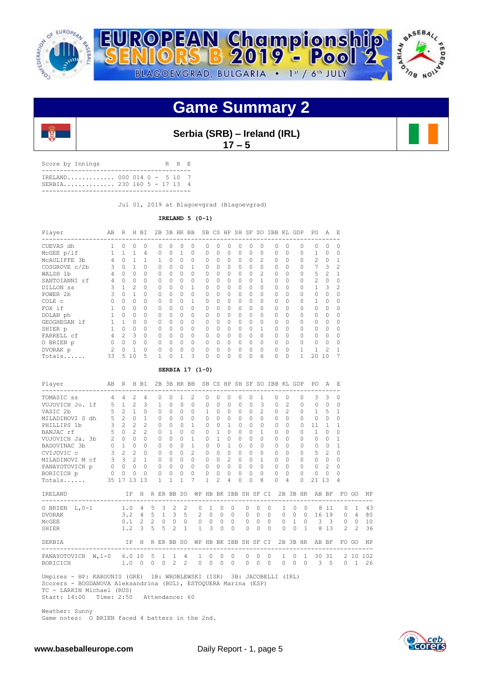![](_page_4_Picture_0.jpeg)

![](_page_4_Picture_1.jpeg)

### **Game Summary 2**

![](_page_4_Picture_3.jpeg)

**Serbia (SRB) – Ireland (IRL) 17 – 5**

| Score by Innings                                         |  |  | R H E |  |
|----------------------------------------------------------|--|--|-------|--|
| IRELAND 000 014 0 - 5 10 7<br>SERBIA 230 160 5 - 17 13 4 |  |  |       |  |
|                                                          |  |  |       |  |

Jul 01, 2019 at Blagoevgrad (Blagoevgrad)

**IRELAND 5 (0-1)**

| Player          | AB             | R              |                | H BI           | 2В       |              |             | 3B HR BB     |                 |              |              |              |              |                | SB CS HP SH SF SO IBB KL GDP |                |              | PO.            | A              | F.             |
|-----------------|----------------|----------------|----------------|----------------|----------|--------------|-------------|--------------|-----------------|--------------|--------------|--------------|--------------|----------------|------------------------------|----------------|--------------|----------------|----------------|----------------|
| CUEVAS dh       | $\mathbf{1}$   | $\Omega$       | $\circ$        | $\mathbf 0$    | $\Omega$ | $\Omega$     | 0           | $\Omega$     | $\Omega$        | $\Omega$     | 0            | $\Omega$     | $\mathbf{0}$ | $\circ$        | $\Omega$                     | $\Omega$       | 0            | $\Omega$       | $\Omega$       | $\Omega$       |
| McGEE p/lf      | 1              | $\mathbf{1}$   | $\mathbf{1}$   | 4              | 0        | $\Omega$     | 1           | $\Omega$     | $\Omega$        | $\Omega$     | $\Omega$     | $\Omega$     | $\Omega$     | $\Omega$       | $\Omega$                     | $\Omega$       | $\Omega$     | 1              | $\Omega$       | $\Omega$       |
| MCAULIFFE 3b    | 4              | $\Omega$       | $\mathbf{1}$   | $\mathbf{1}$   | 1        | $\Omega$     | $\Omega$    | $\Omega$     | $\Omega$        | $\Omega$     | $\Omega$     | $\Omega$     | $\Omega$     | $\overline{c}$ | $\Omega$                     | $\Omega$       | $\Omega$     | $\overline{c}$ | $\Omega$       | 1              |
| COSGROVE c/2b   | 3              | $\Omega$       | $\mathbf{1}$   | $\Omega$       | $\Omega$ | $\Omega$     | $\Omega$    | $\mathbf{1}$ | $\Omega$        | $\Omega$     | $\Omega$     | $\Omega$     | $\Omega$     | $\circ$        | $\Omega$                     | $\Omega$       | $\Omega$     | 7              | 3              | $\mathcal{D}$  |
| WALSH 1b        | 4              | $\Omega$       | $\Omega$       | $\Omega$       | $\Omega$ | $\Omega$     | $\Omega$    | $\Omega$     | $\Omega$        | $\Omega$     | $\Omega$     | $\Omega$     | $\Omega$     | $\overline{c}$ | $\Omega$                     | $\Omega$       | $\Omega$     | 5              | $\overline{2}$ | 1              |
| SANTOIANNI rf   | 4              | $\Omega$       | $\Omega$       | $\Omega$       | 0        | 0            | 0           | 0            | $\Omega$        | $\Omega$     | $\Omega$     | 0            | $\Omega$     | $\mathbf{1}$   | 0                            | $\Omega$       | $\Omega$     | $\overline{c}$ | $\Omega$       | $\Omega$       |
| DILLON SS       | 3              | $\mathbf{1}$   | $\overline{c}$ | $\Omega$       | $\Omega$ | 0            | $\Omega$    | $\mathbf{1}$ | $\Omega$        | $\Omega$     | 0            | $\Omega$     | $\Omega$     | $\Omega$       | $\Omega$                     | 0              | 0            | $\mathbf{1}$   | 3              | $\overline{2}$ |
| POWER 2b        | 3              | $\Omega$       | $\mathbf{1}$   | $\Omega$       | $\Omega$ | $\cap$       | 0           | $\Omega$     | $\Omega$        | $\Omega$     | $\Omega$     | $\Omega$     | $\Omega$     | $\Omega$       | $\Omega$                     | 0              | $\Omega$     | $\cap$         | $\Omega$       | $\Omega$       |
| COLE c          | $\Omega$       | $\Omega$       | $\Omega$       | $\Omega$       | 0        | 0            | 0           | $\mathbf{1}$ | $\Omega$        | $\Omega$     | $\Omega$     | $\Omega$     | $\Omega$     | $\Omega$       | $\Omega$                     | $\Omega$       | $\Omega$     | $\mathbf{1}$   | $\Omega$       | $\Omega$       |
| FOX 1f          | $\mathbf{1}$   | $\Omega$       | $\Omega$       | $\Omega$       | $\Omega$ | $\Omega$     | $\Omega$    | $\Omega$     | $\Omega$        | $\Omega$     | $\Omega$     | $\Omega$     | $\Omega$     | $\Omega$       | $\Omega$                     | 0              | $\Omega$     | $\Omega$       | $\Omega$       | O              |
| DOLAN ph        | $\mathbf{1}$   | $\Omega$       | $\Omega$       | $\Omega$       | 0        | $\Omega$     | $\Omega$    | $\Omega$     | $\Omega$        | $\Omega$     | $\Omega$     | $\Omega$     | $\Omega$     | $\Omega$       | $\Omega$                     | 0              | $\Omega$     | $\cap$         | $\Omega$       | 0              |
| GEOGHEGAN 1f    | $\mathbf{1}$   | $\mathbf{1}$   | $\Omega$       | $\mathbf 0$    | 0        | 0            | 0           | $\mathbf 0$  | $\Omega$        | $\Omega$     | 0            | 0            | $\Omega$     | $\Omega$       | 0                            | 0              | $\Omega$     | $\Omega$       | $\Omega$       | $\Omega$       |
| SHIER p         | $\mathbf{1}$   | $\Omega$       | $\Omega$       | $\Omega$       | $\Omega$ | 0            | $\Omega$    | $\Omega$     | $\Omega$        | $\Omega$     | 0            | 0            | $\Omega$     | 1              | $\Omega$                     | 0              | $\Omega$     | $\Omega$       | $\Omega$       | 0              |
| FARRELL cf      | $\overline{4}$ | $\mathfrak{D}$ | 3              | $\Omega$       | $\Omega$ | $\Omega$     | $\Omega$    | $\Omega$     | $\Omega$        | $\Omega$     | $\Omega$     | $\Omega$     | $\Omega$     | $\Omega$       | $\Omega$                     | $\Omega$       | $\Omega$     | $\bigcap$      | $\Omega$       | $\Omega$       |
| O BRIEN p       | $\circ$        | $\Omega$       | $\circ$        | $\circ$        | 0        | $\Omega$     | $\circ$     | $\circ$      | $\circ$         | $\Omega$     | $\Omega$     | $\Omega$     | $\Omega$     | $\Omega$       | 0                            | $\Omega$       | $\circ$      | $\Omega$       | $\Omega$       | $\Omega$       |
| DVORAK p        | $\overline{c}$ | $\Omega$       | $\mathbf{1}$   | $\Omega$       | $\Omega$ | $\Omega$     | 0           | $\circ$      | $\circ$         | $\Omega$     | $\Omega$     | $\Omega$     | $\Omega$     | $\Omega$       | $\circ$                      | $\Omega$       | $\mathbf{1}$ | 1              | $\mathfrak{D}$ | 1              |
| Totals          | 33             | 5              | 10             | 5              | 1        | 0            | 1           | 3            | $\Omega$        | $\Omega$     | $\Omega$     | 0            | $\Omega$     | 6              | $\Omega$                     | 0              | $\mathbf{1}$ | 20             | 10             |                |
|                 |                |                |                |                |          |              |             |              | SERBIA 17 (1-0) |              |              |              |              |                |                              |                |              |                |                |                |
| Player          | AB             | $\mathbb{R}$   |                | H BI           |          |              |             | 2B 3B HR BB  |                 |              |              |              |              |                | SB CS HP SH SF SO IBB KL GDP |                |              | PO             | A              | $F_{\rm s}$    |
| TOMASIC SS      | 4              | $\overline{4}$ | 2              | 4              | 0        | $\cap$       | 1           | 2            | $\Omega$        | Ω            | 0            | 0            | 0            | 1              | $\Omega$                     | $\Omega$       | $\cap$       | 3              | 3              | 0              |
| VUJOVICH Jo. lf | $5 -$          | 1              | $\overline{c}$ | 3              | 1        | 0            | $\mathbf 0$ | $\circ$      | $\mathbf{0}$    | $\mathbf{0}$ | 0            | $\mathbf{0}$ | $\mathbf{0}$ | 3              | $\circ$                      | 2              | $\circ$      | $\circ$        | $\mathbf{0}$   | $\Omega$       |
| VASIC 2b        | 5              | $\overline{c}$ | $\mathbf{1}$   | $\Omega$       | $\Omega$ | $\Omega$     | 0           | $\circ$      | 1               | $\Omega$     | $\Omega$     | $\Omega$     | 0            | $\overline{c}$ | $\circ$                      | $\overline{2}$ | $\Omega$     | $\mathbf{1}$   | 5              | 1              |
| MILADINOVI S dh | 5              | 2              | $\Omega$       | $\mathbf{1}$   | $\Omega$ | $\Omega$     | $\Omega$    | $\Omega$     | $\Omega$        | $\Omega$     | $\Omega$     | $\Omega$     | $\Omega$     | $\Omega$       | $\Omega$                     | $\Omega$       | $\Omega$     | $\Omega$       | $\Omega$       | Ω              |
| PHILLIPS 1b     | 3              | $\overline{c}$ | $\overline{c}$ | $\mathfrak{D}$ | $\Omega$ | $\Omega$     | $\Omega$    | $\mathbf{1}$ | $\Omega$        | $\Omega$     | $\mathbf{1}$ | $\Omega$     | $\Omega$     | $\Omega$       | $\Omega$                     | $\Omega$       | $\Omega$     | 11             | $\mathbf{1}$   | 1              |
| BANJAC rf       | 5              | $\circ$        | $\overline{c}$ | $\mathfrak{D}$ | 0        | $\mathbf{1}$ | $\Omega$    | $\circ$      | $\Omega$        | $\mathbf{1}$ | $\Omega$     | $\Omega$     | $\Omega$     | $\mathbf{1}$   | $\Omega$                     | $\Omega$       | $\Omega$     | $\mathbf{1}$   | $\Omega$       | 0              |
| VUJOVICH Ja. 3b | $2^{\circ}$    | $\Omega$       | $\Omega$       | $\Omega$       | $\Omega$ | $\cap$       | $\Omega$    | $\mathbf{1}$ | $\Omega$        | $\mathbf{1}$ | $\Omega$     | $\Omega$     | $\Omega$     | $\Omega$       | $\Omega$                     | $\Omega$       | $\Omega$     | $\Omega$       | $\Omega$       | 1              |
| BADOVINAC 3b    | $\Omega$       | $\mathbf{1}$   | $\Omega$       | $\Omega$       | $\Omega$ | $\Omega$     | $\Omega$    | $\mathbf{1}$ | $\Omega$        | $\Omega$     | 1            | $\Omega$     | $\Omega$     | $\Omega$       | $\Omega$                     | $\Omega$       | $\Omega$     | $\Omega$       | $\Omega$       | $\mathbf{1}$   |

 MILADINOVI M cf 3 3 2 1 0 0 0 0 0 0 2 0 0 1 0 0 0 0 0 0 PANAYOTOVICH p 0 0 0 0 0 0 0 0 0 0 0 0 0 0 0 0 0 0 2 0 BORICICH p 0 0 0 0 0 0 0 0 0 0 0 0 0 0 0 0 0 0 0 0 Totals...... 35 17 13 13 1 1 1 7 1 2 4 0 0 8 0 4 0 21 13 4 IRELAND IP H R ER BB SO WP HB BK IBB SH SF CI 2B 3B HR AB BF FO GO NP ------------------------------------------------------------------------------------------- O BRIEN L,0-1 1.0 4 5 3 2 2 0 1 0 0 0 0 0 1 0 0 8 11 0 1 43 DVORAK 3.2 4 5 1 3 5 2 0 0 0 0 0 0 0 0 0 16 19 0 4 80 McGEE 0.1 2 2 0 0 0 0 0 0 0 0 0 0 0 1 0 3 3 0 0 10 SHIER 1.2 3 5 5 2 1 1 3 0 0 0 0 0 0 0 1 8 13 2 2 36 SERBIA IP H R ER BB SO WP HB BK IBB SH SF CI 2B 3B HR AB BF FO GO NP ------------------------------------------------------------------------------------------- PANAYOTOVICH W,1-0 6.0 10 5 1 1 4 1 0 0 0 0 0 0 1 0 1 30 31 2 10 102 BORICICH 1.0 0 0 0 2 2 0 0 0 0 0 0 0 0 0 0 3 5 0 1 26

CVIJOVIC c 3 2 2 0 0 0 0 2 0 0 0 0 0 0 0 0 0 5 2 0

 Umpires - HP: KAROUNIS (GRE) 1B: WROBLEWSKI (ISR) 3B: JACOBELLI (IRL) Scorers - BOGDANOVA Aleksandrina (BUL), ESTOQUERA Marina (ESP) TC - LARKIN Michael (RUS) Start: 14:00 Time: 2:50 Attendance: 60

 Weather: Sunny Game notes: O BRIEN faced 4 batters in the 2nd.

![](_page_4_Picture_12.jpeg)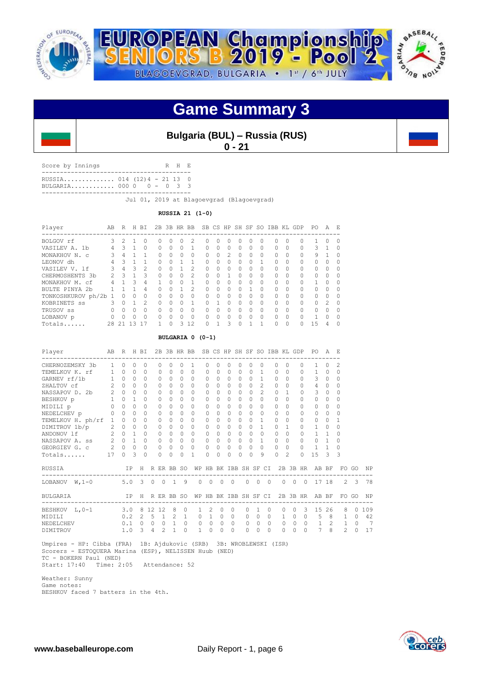![](_page_5_Picture_0.jpeg)

![](_page_5_Picture_1.jpeg)

### **Game Summary 3**

### **Bulgaria (BUL) – Russia (RUS) 0 - 21**

Score by Innings R H E ----------------------------------------- RUSSIA.............. 014 (12)4 - 21 13 0

BULGARIA............ 000 0 0 - 0 3 3 -----------------------------------------

Jul 01, 2019 at Blagoevgrad (Blagoevgrad)

**RUSSIA 21 (1-0)**

| Player               | A <sub>B</sub> | R              |        | H BT           |           |   |           | 2B 3B HR BB       |              |          |                |           |              |          | SB CS HP SH SF SO IBB KL GDP |          |          | PO.      | A              | E.           |
|----------------------|----------------|----------------|--------|----------------|-----------|---|-----------|-------------------|--------------|----------|----------------|-----------|--------------|----------|------------------------------|----------|----------|----------|----------------|--------------|
| BOLGOV rf            | २              | $\mathcal{P}$  |        | $\Omega$       | $\Omega$  | O | $\Omega$  | $\mathcal{D}_{1}$ | $\Omega$     | 0        | 0              | $\Omega$  | $\Omega$     | O        | $\Omega$                     | 0        | 0        |          | $\Omega$       | <sup>0</sup> |
| VASILEV A. 1b        |                | 3              |        | $\Omega$       | $\Omega$  | 0 | $\Omega$  |                   | $\Omega$     | 0        | 0              | $\Omega$  | 0            | $\Omega$ | $\Omega$                     | $\Omega$ | $\Omega$ | 3        |                | 0            |
| MONAKHOV N. C        | 3              | 4              |        |                | $\bigcap$ | O | $\bigcap$ | $\Omega$          | $\bigcap$    | 0        | $\mathfrak{D}$ | $\bigcap$ | <sup>0</sup> | O        | $\bigcap$                    | 0        | $\Omega$ | 9        |                | ∩            |
| LEONOV dh            |                | 3              |        |                | $\Omega$  | O |           |                   | <sup>0</sup> | Ω        | 0              | 0         | 0            |          | $\Omega$                     | $\Omega$ | $\Omega$ | $\Omega$ |                | O            |
| VASILEV V. 1f        | 3              | $\overline{4}$ | 3      | $\mathfrak{D}$ | $\Omega$  | O |           | 2                 | $\Omega$     | 0        | 0              | $\bigcap$ | $\Omega$     | O        | $\Omega$                     | 0        | $\Omega$ | $\Omega$ | $\Omega$       | <sup>0</sup> |
| CHERMOSHENTS 3b      | $\mathcal{P}$  | २              |        | ς              | $\Omega$  | O | $\Omega$  | 2                 | $\Omega$     | 0        |                | $\bigcap$ | $\Omega$     | $\Omega$ | $\Omega$                     | $\Omega$ | $\Omega$ | $\Omega$ | $\cap$         | $\Omega$     |
| MONAKHOV M.<br>.c.f  | 4              |                | 3      | 4              |           | U | $\Omega$  |                   | $\Omega$     | 0        | $\bigcap$      | $\bigcap$ | <sup>0</sup> | $\Omega$ | $\Omega$                     | $\Omega$ | $\cap$   |          | $\cap$         | $\Omega$     |
| BULTE PINYA 2b       |                |                |        | 4              | $\Omega$  | U |           | 2                 | $\Omega$     | $\Omega$ | $\Omega$       | $\bigcap$ |              | $\Omega$ | $\Omega$                     | $\Omega$ | $\Omega$ | $\Omega$ | $\cap$         | $\Omega$     |
| TONKOSHKUROV ph/2b 1 |                | O              | Ω      | $\Omega$       | $\Omega$  | O | $\Omega$  | $\Omega$          | $\Omega$     | 0        | $\Omega$       | $\bigcap$ | <sup>0</sup> | 0        | $\bigcap$                    | $\Omega$ | $\cap$   | $\cap$   | $\Omega$       | <sup>0</sup> |
| KOBRINETS ss         | ς              | $\cap$         |        | 2              | $\Omega$  | U | $\Omega$  | 1                 | $\cap$       |          | 0              | $\bigcap$ | $\Omega$     | $\Omega$ | $\Omega$                     | $\Omega$ | $\cap$   | $\cap$   | $\mathfrak{D}$ | $\cap$       |
| TRUSOV SS            | $\bigcap$      | $\Omega$       | 0      | $\Omega$       | $\Omega$  | O | $\Omega$  | $\Omega$          | $\bigcap$    | 0        | 0              | $\Omega$  | <sup>0</sup> | $\Omega$ | $\Omega$                     | $\Omega$ | $\Omega$ | $\Omega$ | 0              | $\Omega$     |
| LOBANOV p            | $\Omega$       | $\Omega$       | $\cap$ | $\Omega$       | $\Omega$  | U | $\Omega$  | $\Omega$          | $\Omega$     | $\Omega$ | 0              | $\Omega$  | $\Omega$     | $\Omega$ | $\Omega$                     | $\Omega$ | $\Omega$ | 1        | $\cap$         | $\cap$       |
| Totals               | 2.8            | -21            | २      |                |           | Λ | 3         | 12                | $\Omega$     |          | 3              | $\Omega$  |              |          | 0                            | $\Omega$ | $\cap$   | 1.5      | 4              | ∩            |

#### **BULGARIA 0 (0-1)**

| Player                                                           | AB R           |                     |              | H BI          |                |                |                 |              | 2B 3B HR BB  |              |           |             |           |           |                    | SB CS HP SH SF SO IBB KL GDP |           |                |                     | PO.                                  | $\mathcal{A}$ | E.            |             |     |
|------------------------------------------------------------------|----------------|---------------------|--------------|---------------|----------------|----------------|-----------------|--------------|--------------|--------------|-----------|-------------|-----------|-----------|--------------------|------------------------------|-----------|----------------|---------------------|--------------------------------------|---------------|---------------|-------------|-----|
| CHERNOZEMSKY 3b                                                  | $\mathbf{1}$   | $\Omega$            | $\Omega$     | $\Omega$      |                | $\Omega$       | $\Omega$        | $\Omega$     | 1            | $\Omega$     | $\Omega$  | $\Omega$    | $\Omega$  | $\Omega$  | $\Omega$           |                              | $\Omega$  | $\Omega$       | $\cap$              | $\mathbf{1}$                         | <sup>0</sup>  | 2             |             |     |
| TEMELKOV K. rf 1 0                                               |                |                     | $\Omega$     | $\Omega$      |                | $\Omega$       | $\Omega$        | $\Omega$     | $\Omega$     | $\Omega$     | $\Omega$  | $\Omega$    | $\Omega$  | $\Omega$  | 1                  |                              | $\bigcap$ | $\Omega$       | $\Omega$            | $\mathbf{1}$                         | $\Omega$      | $\Omega$      |             |     |
| GARNEV rf/1b                                                     | 1              | $\Omega$            | $\Omega$     | $\Omega$      |                | $\Omega$       | $\Omega$        | $\Omega$     | $\cap$       | $\cap$       | $\Omega$  | $\Omega$    | $\Omega$  | $\Omega$  | 1                  |                              | $\Omega$  | $\bigcap$      | $\cap$              | 3                                    | $\Omega$      | 0             |             |     |
| ZHALTOV cf                                                       | $\overline{2}$ | $\Omega$            | $\Omega$     | $\Omega$      |                | $\Omega$       | $\Omega$        | $\Omega$     | $\cap$       | $\Omega$     | $\Omega$  | $\Omega$    | $\cap$    | $\Omega$  | $\overline{c}$     |                              | $\Omega$  | $\Omega$       | $\cap$              | 4                                    | $\Omega$      | 0             |             |     |
| NASSAPOV D. 2b 2                                                 |                | $\Omega$            | $\Omega$     | $\Omega$      |                | 0              | $\Omega$        | $\Omega$     | $\Omega$     | 0            | $\bigcap$ | $\Omega$    | $\Omega$  | $\Omega$  | $\mathfrak{D}$     |                              | $\Omega$  | $\mathbf{1}$   | $\Omega$            | 3                                    | $\Omega$      | $\Omega$      |             |     |
| $\begin{array}{ccc} 0 & 1 & 0 \\ 0 & 0 \end{array}$<br>BESHKOV p |                |                     | $\mathbf{1}$ | <sup>0</sup>  |                | $\Omega$       | $\Omega$        | $\Omega$     | 0            | $\Omega$     | $\Omega$  | $\Omega$    | $\Omega$  | $\bigcap$ | $\Omega$           |                              | $\Omega$  | $\bigcap$      |                     | $\cap$                               | $\Omega$      | 0             |             |     |
| MIDILI p                                                         |                |                     | $\Omega$     | $\Omega$      |                | $\Omega$       | $\Omega$        | $\Omega$     | $\cap$       | $\Omega$     | $\Omega$  | $\Omega$    | $\bigcap$ | $\Omega$  | $\Omega$           |                              | $\Omega$  | $\bigcap$      | $\cap$              | $\Omega$                             | $\Omega$      | 0             |             |     |
| $0 \quad 0$<br>NEDELCHEV p                                       |                |                     | $\Omega$     | $\Omega$      |                | 0              | $\Omega$        | $\Omega$     | $\Omega$     | $\Omega$     | $\Omega$  | $\Omega$    | $\Omega$  | $\Omega$  | $\Omega$           |                              | $\Omega$  | $\Omega$       | 0                   | $\Omega$                             | $\Omega$      | $\Omega$      |             |     |
| TEMELKOV H. ph/rf 1                                              |                | $\Omega$            | $\Omega$     | $\Omega$      |                | $\Omega$       | $\Omega$        | $\Omega$     | $\cap$       | $\Omega$     | $\Omega$  | $\Omega$    | $\cap$    | $\Omega$  | 1                  |                              | $\Omega$  | $\Omega$       | $\cap$              | $\Omega$                             | $\Omega$      | 1             |             |     |
| DIMITROV 1b/p                                                    |                | $2 \quad 0$         | $\Omega$     | $\Omega$      |                | $\Omega$       | $\Omega$        | $\Omega$     | $\Omega$     | $\Omega$     | $\bigcap$ | $\Omega$    | $\bigcap$ | $\Omega$  | 1                  |                              | $\Omega$  | 1              | $\bigcap$           | $\mathbf{1}$                         | $\Omega$      | 0             |             |     |
| ANDONOV 1f                                                       | $\overline{2}$ | $\Omega$            | $\mathbf{1}$ | $\Omega$      |                | $\Omega$       | $\Omega$        | $\bigcap$    | $\cap$       | $\Omega$     | $\bigcap$ | $\Omega$    | $\cap$    | $\Omega$  | $\Omega$           |                              | $\Omega$  | $\Omega$       | 0                   | $\mathbf{1}$                         | $\mathbf{1}$  | 0             |             |     |
| NASSAPOV A. ss                                                   | $2^{\circ}$    | $\Omega$            | $\mathbf{1}$ | $\Omega$      |                | 0              | $\Omega$        | $\Omega$     | $\Omega$     | 0            | $\Omega$  | $\circ$     | $\Omega$  | $\Omega$  | $\mathbf{1}$       |                              | $\Omega$  | $\Omega$       | $\Omega$            | $\Omega$                             |               | 0             |             |     |
| GEORGIEV G. C                                                    |                | $2 \quad 0 \quad 0$ |              | $\circ$       |                | 0              | $\circ$         | 0            | $\Omega$     | 0            | 0         | $\circ$     | $\circ$   | $\Omega$  | $\Omega$           |                              | $\Omega$  | $\Omega$       | $\Omega$            | 1                                    | $\mathbf{1}$  | 0             |             |     |
| Totals                                                           | 17             | $\Omega$            | 3            | $\Omega$      |                | $\Omega$       | $\Omega$        | $\Omega$     | 1            | $\Omega$     | $\Omega$  | 0           | 0         | $\cap$    | 9                  |                              | $\Omega$  | $\mathfrak{D}$ | $\cap$              | 15                                   | $\mathcal{L}$ | 3             |             |     |
| RUSSIA                                                           |                |                     |              |               |                |                | IP H R ER BB SO |              | WP           |              |           |             |           |           | HB BK IBB SH SF CI |                              |           |                |                     | 2B 3B HR AB BF                       |               |               | FO GO       | NP  |
| LOBANOV $W, 1-0$                                                 | 5.0 3 0 0 1    |                     |              |               |                |                |                 | 9            |              | $0 \quad 0$  |           | $0 \quad 0$ |           | $\Omega$  | $\Omega$           | $\bigcirc$                   | $\Omega$  |                |                     | $0 \t 0 \t 17 \t 18$                 |               |               | $2 \quad 3$ | 78  |
| BULGARIA                                                         |                |                     |              |               |                |                | IP H R ER BB SO |              |              |              |           |             |           |           |                    |                              |           |                |                     | WP HB BK IBB SH SF CI 2B 3B HR AB BF |               |               | FO GO       | NP  |
| BESHKOV L, 0-1                                                   |                | 3.0 8 12 12         |              |               |                |                | 8               | $\Omega$     | $\mathbf{1}$ | 2            | $\Omega$  | $\circ$     |           | $\Omega$  | 1                  | $\Omega$                     | 0         | $\circ$        | 3                   | 15                                   | 26            | 8             | $\Omega$    | 109 |
| MIDILI                                                           |                |                     |              |               |                |                | $0.2$ 2 5 1 2   | $\mathbf{1}$ | $\Omega$     | $\mathbf{1}$ | $\Omega$  | $\Omega$    |           | $\Omega$  | $\Omega$           | $\Omega$                     |           |                | $1 \quad 0 \quad 0$ | $5\quad 8$                           |               | 1             | $\Omega$    | 42  |
| NEDELCHEV                                                        |                |                     |              | $0.1 \quad 0$ | $\circ$        | $\circ$        | $\overline{1}$  | $\Omega$     | $\circ$      | $\mathbf{0}$ | $\Omega$  | $\Omega$    |           | $\Omega$  | $\Omega$           | $\Omega$                     | $\circ$   | $\circ$        | $\overline{0}$      | $\mathbf{1}$                         | 2             | $\mathbf{1}$  | $\Omega$    | 7   |
| DIMITROV                                                         |                |                     | $1.0-3$      |               | $\overline{4}$ | $\mathfrak{D}$ | $\overline{1}$  | $\Omega$     | 1            | $\Omega$     | $\Omega$  | $\Omega$    |           | $\Omega$  | $\Omega$           | $\Omega$                     | $\Omega$  | 0              | $\Omega$            | 7                                    | 8             | $\mathcal{L}$ | $\Omega$    | 17  |
|                                                                  |                |                     |              |               |                |                |                 |              |              |              |           |             |           |           |                    |                              |           |                |                     |                                      |               |               |             |     |

 Umpires - HP: Cibba (FRA) 1B: Ajdukovic (SRB) 3B: WROBLEWSKI (ISR) Scorers - ESTOQUERA Marina (ESP), NELISSEN Huub (NED) TC - BOKERN Paul (NED) Start: 17:40 Time: 2:05 Attendance: 52

 Weather: Sunny Game notes: BESHKOV faced 7 batters in the 4th.

![](_page_5_Picture_13.jpeg)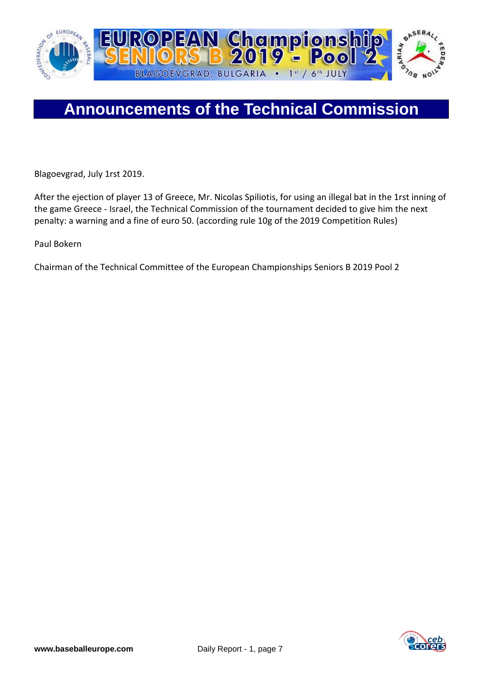![](_page_6_Picture_0.jpeg)

## **Announcements of the Technical Commission**

Blagoevgrad, July 1rst 2019.

After the ejection of player 13 of Greece, Mr. Nicolas Spiliotis, for using an illegal bat in the 1rst inning of the game Greece - Israel, the Technical Commission of the tournament decided to give him the next penalty: a warning and a fine of euro 50. (according rule 10g of the 2019 Competition Rules)

Paul Bokern

Chairman of the Technical Committee of the European Championships Seniors B 2019 Pool 2

![](_page_6_Picture_6.jpeg)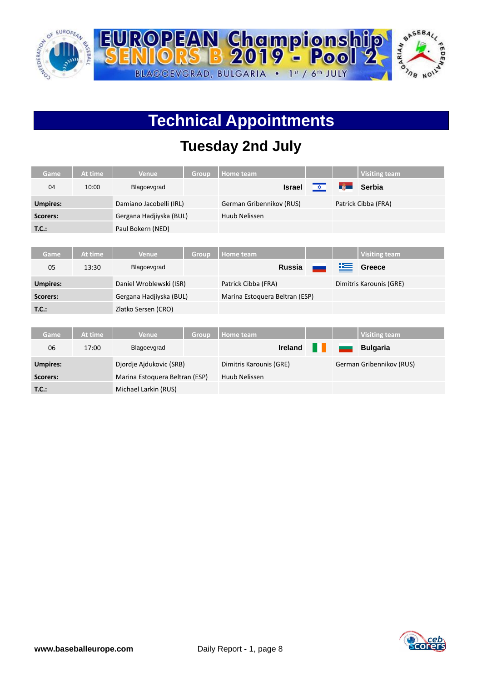![](_page_7_Picture_0.jpeg)

# **Technical Appointments**

### **Tuesday 2nd July**

| <b>Game</b>     | At time | <b>Venue</b>                   | <b>Group</b> | Home team                      |   |                  | <b>Visiting team</b>     |
|-----------------|---------|--------------------------------|--------------|--------------------------------|---|------------------|--------------------------|
| 04              | 10:00   | Blagoevgrad                    |              | <b>Israel</b>                  | 文 | <b>Liji Li</b> j | Serbia                   |
| <b>Umpires:</b> |         | Damiano Jacobelli (IRL)        |              | German Gribennikov (RUS)       |   |                  | Patrick Cibba (FRA)      |
| <b>Scorers:</b> |         | Gergana Hadjiyska (BUL)        |              | Huub Nelissen                  |   |                  |                          |
| T.C.:           |         | Paul Bokern (NED)              |              |                                |   |                  |                          |
|                 |         |                                |              |                                |   |                  |                          |
| Game            | At time | <b>Venue</b>                   | <b>Group</b> | <b>Home team</b>               |   |                  | <b>Visiting team</b>     |
| 05              | 13:30   | Blagoevgrad                    |              | <b>Russia</b>                  |   | æ                | <b>Greece</b>            |
| <b>Umpires:</b> |         | Daniel Wroblewski (ISR)        |              | Patrick Cibba (FRA)            |   |                  | Dimitris Karounis (GRE)  |
| <b>Scorers:</b> |         | Gergana Hadjiyska (BUL)        |              | Marina Estoquera Beltran (ESP) |   |                  |                          |
| T.C.:           |         | Zlatko Sersen (CRO)            |              |                                |   |                  |                          |
|                 |         |                                |              |                                |   |                  |                          |
| Game            | At time | <b>Venue</b>                   | Group        | <b>Home team</b>               |   |                  | <b>Visiting team</b>     |
| 06              | 17:00   | Blagoevgrad                    |              | <b>Ireland</b>                 |   |                  | <b>Bulgaria</b>          |
| <b>Umpires:</b> |         | Djordje Ajdukovic (SRB)        |              | Dimitris Karounis (GRE)        |   |                  | German Gribennikov (RUS) |
| <b>Scorers:</b> |         | Marina Estoquera Beltran (ESP) |              | Huub Nelissen                  |   |                  |                          |
| T.C.:           |         | Michael Larkin (RUS)           |              |                                |   |                  |                          |

![](_page_7_Picture_4.jpeg)